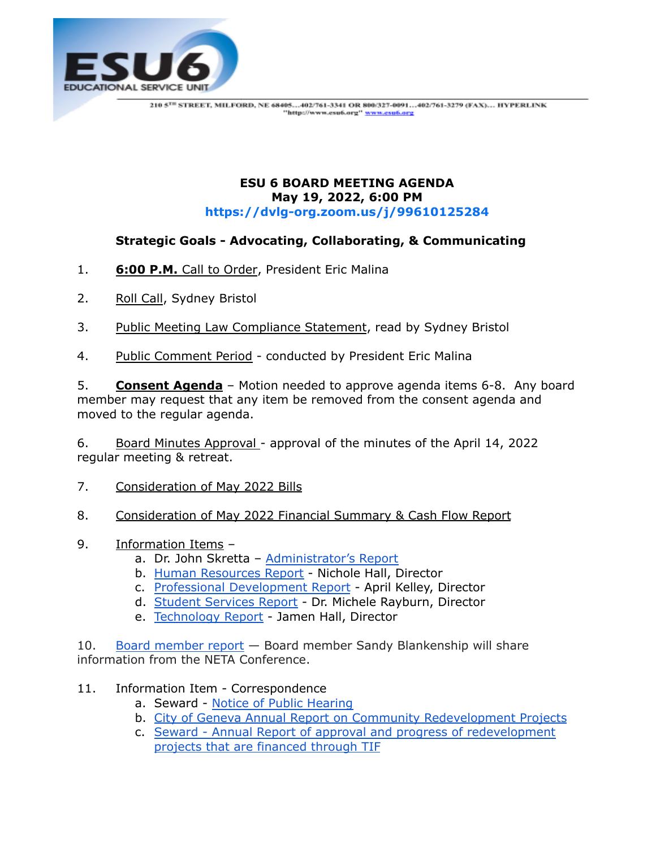

## **ESU 6 BOARD MEETING AGENDA May 19, 2022, 6:00 PM <https://dvlg-org.zoom.us/j/99610125284>**

## **Strategic Goals - Advocating, Collaborating, & Communicating**

- 1. **6:00 P.M.** Call to Order, President Eric Malina
- 2. Roll Call, Sydney Bristol
- 3. Public Meeting Law Compliance Statement, read by Sydney Bristol
- 4. Public Comment Period conducted by President Eric Malina

5. **Consent Agenda** – Motion needed to approve agenda items 6-8. Any board member may request that any item be removed from the consent agenda and moved to the regular agenda.

6. Board Minutes Approval - approval of the minutes of the April 14, 2022 regular meeting & retreat.

- 7. Consideration of May 2022 Bills
- 8. Consideration of May 2022 Financial Summary & Cash Flow Report
- 9. Information Items
	- a. Dr. John Skretta [Administrator's](https://docs.google.com/document/d/1blRE9-PH8tWbn-pG5Is880XHvj8iZwrCbbVQRw9o4kg/edit) Report
	- b. Human [Resources](https://docs.google.com/document/d/1tDXUb43a-TiEK3kzAUIzlFyQK5AI44kn0hZeUf8Hmqs/edit?usp=sharing) Report Nichole Hall, Director
	- c. Professional [Development](https://drive.google.com/file/d/1c6uP47lu68hoqva_u1nj6uQ__ttmsQVM/view?usp=sharing) Report April Kelley, Director
	- d. Student [Services](https://drive.google.com/file/d/1oJpXwEthndtZxuMMCZ1CzA1tLVlZGUsQ/view?usp=sharing) Report Dr. Michele Rayburn, Director
	- e. [Technology](https://docs.google.com/document/d/1w2kfWXB6GrQuMa3r5hYdunTLHgohi9Y5-daTUIwuYf4/edit?usp=sharing) Report Jamen Hall, Director

10. Board [member](https://docs.google.com/document/d/1LCG3teff7GDIX1zhEUyh4slu_jwZb1Wp/edit?usp=sharing&ouid=117242965087359001063&rtpof=true&sd=true) report — Board member Sandy Blankenship will share information from the NETA Conference.

- 11. Information Item Correspondence
	- a. Seward Notice of Public [Hearing](https://drive.google.com/file/d/1pWvenr9ZgBdGVMfljBdn2dQ-VhUVDqBq/view?usp=sharing)
	- b. City of Geneva Annual Report on Community [Redevelopment](https://drive.google.com/file/d/1Le400GEXZ8z70QDa403KFBo4o8ewRe_e/view?usp=sharing) Projects
	- c. Seward Annual Report of approval and progress of [redevelopment](https://drive.google.com/file/d/1VQPBaV6RBu8tRCcTqxmE98shgeDSwTTW/view?usp=sharing) projects that are [financed](https://drive.google.com/file/d/1VQPBaV6RBu8tRCcTqxmE98shgeDSwTTW/view?usp=sharing) through TIF